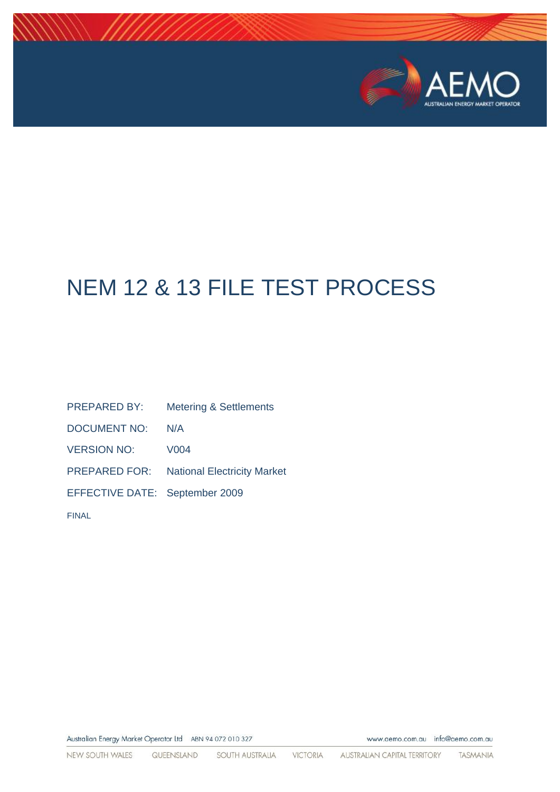

# NEM 12 & 13 FILE TEST PROCESS

PREPARED BY: Metering & Settlements DOCUMENT NO: N/A VERSION NO: V004 PREPARED FOR: National Electricity Market EFFECTIVE DATE: September 2009 FINAL

Australian Energy Market Operator Ltd ABN 94 072 010 327

www.aemo.com.au info@aemo.com.au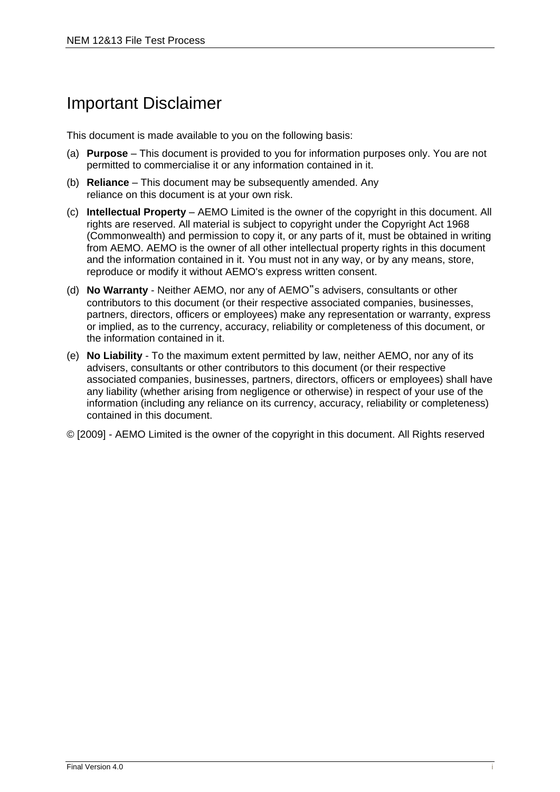## Important Disclaimer

This document is made available to you on the following basis:

- (a) **Purpose**  This document is provided to you for information purposes only. You are not permitted to commercialise it or any information contained in it.
- (b) **Reliance**  This document may be subsequently amended. Any reliance on this document is at your own risk.
- (c) **Intellectual Property**  AEMO Limited is the owner of the copyright in this document. All rights are reserved. All material is subject to copyright under the Copyright Act 1968 (Commonwealth) and permission to copy it, or any parts of it, must be obtained in writing from AEMO. AEMO is the owner of all other intellectual property rights in this document and the information contained in it. You must not in any way, or by any means, store, reproduce or modify it without AEMO's express written consent.
- (d) **No Warranty**  Neither AEMO, nor any of AEMO"s advisers, consultants or other contributors to this document (or their respective associated companies, businesses, partners, directors, officers or employees) make any representation or warranty, express or implied, as to the currency, accuracy, reliability or completeness of this document, or the information contained in it.
- (e) **No Liability**  To the maximum extent permitted by law, neither AEMO, nor any of its advisers, consultants or other contributors to this document (or their respective associated companies, businesses, partners, directors, officers or employees) shall have any liability (whether arising from negligence or otherwise) in respect of your use of the information (including any reliance on its currency, accuracy, reliability or completeness) contained in this document.
- © [2009] AEMO Limited is the owner of the copyright in this document. All Rights reserved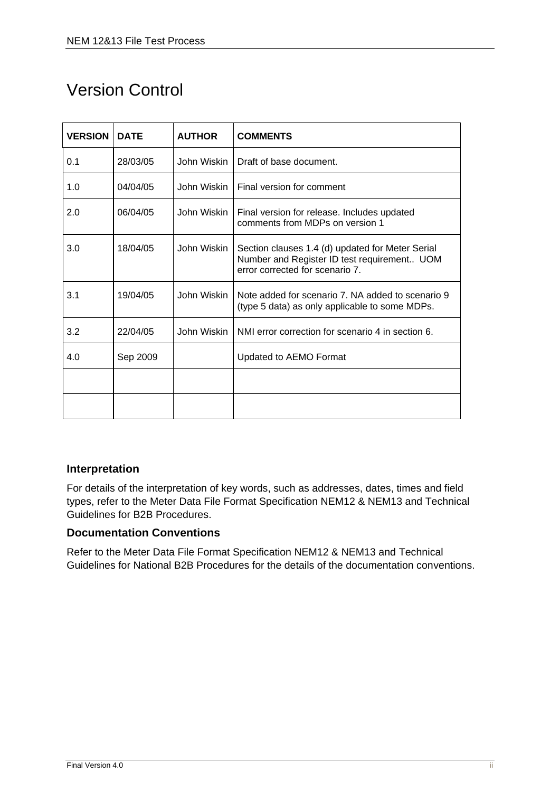## Version Control

| <b>VERSION</b> | <b>DATE</b> | <b>AUTHOR</b> | <b>COMMENTS</b>                                                                                                                    |
|----------------|-------------|---------------|------------------------------------------------------------------------------------------------------------------------------------|
| 0.1            | 28/03/05    | John Wiskin   | Draft of base document.                                                                                                            |
| 1.0            | 04/04/05    | John Wiskin   | Final version for comment                                                                                                          |
| 2.0            | 06/04/05    | John Wiskin   | Final version for release. Includes updated<br>comments from MDPs on version 1                                                     |
| 3.0            | 18/04/05    | John Wiskin   | Section clauses 1.4 (d) updated for Meter Serial<br>Number and Register ID test requirement UOM<br>error corrected for scenario 7. |
| 3.1            | 19/04/05    | John Wiskin   | Note added for scenario 7. NA added to scenario 9<br>(type 5 data) as only applicable to some MDPs.                                |
| 3.2            | 22/04/05    | John Wiskin   | NMI error correction for scenario 4 in section 6.                                                                                  |
| 4.0            | Sep 2009    |               | Updated to AEMO Format                                                                                                             |
|                |             |               |                                                                                                                                    |
|                |             |               |                                                                                                                                    |

#### <span id="page-2-0"></span>**Interpretation**

For details of the interpretation of key words, such as addresses, dates, times and field types, refer to the Meter Data File Format Specification NEM12 & NEM13 and Technical Guidelines for B2B Procedures.

#### <span id="page-2-1"></span>**Documentation Conventions**

Refer to the Meter Data File Format Specification NEM12 & NEM13 and Technical Guidelines for National B2B Procedures for the details of the documentation conventions.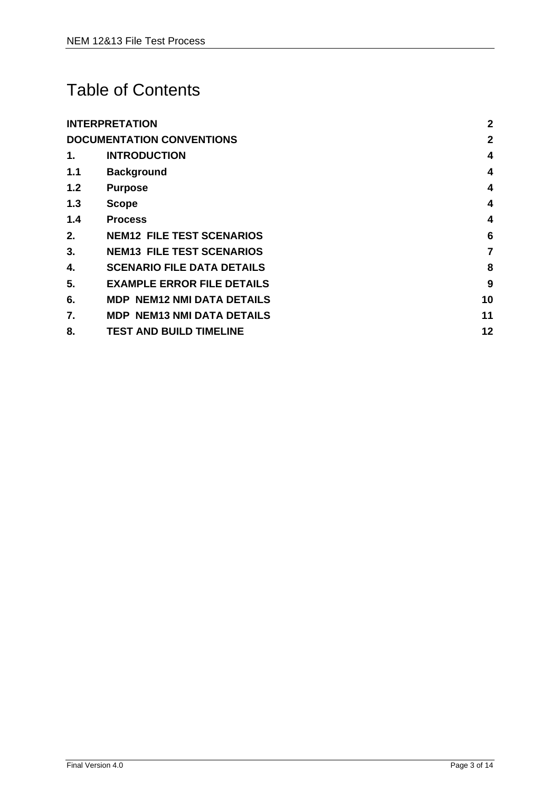## Table of Contents

|     | <b>INTERPRETATION</b>             | $\overline{2}$ |
|-----|-----------------------------------|----------------|
|     | <b>DOCUMENTATION CONVENTIONS</b>  | $\mathbf{2}$   |
| 1.  | <b>INTRODUCTION</b>               | 4              |
| 1.1 | <b>Background</b>                 | 4              |
| 1.2 | <b>Purpose</b>                    | 4              |
| 1.3 | <b>Scope</b>                      | $\overline{4}$ |
| 1.4 | <b>Process</b>                    | 4              |
| 2.  | <b>NEM12 FILE TEST SCENARIOS</b>  | 6              |
| 3.  | <b>NEM13 FILE TEST SCENARIOS</b>  | $\overline{7}$ |
| 4.  | <b>SCENARIO FILE DATA DETAILS</b> | 8              |
| 5.  | <b>EXAMPLE ERROR FILE DETAILS</b> | 9              |
| 6.  | <b>MDP NEM12 NMI DATA DETAILS</b> | 10             |
| 7.  | <b>MDP NEM13 NMI DATA DETAILS</b> | 11             |
| 8.  | <b>TEST AND BUILD TIMELINE</b>    | 12             |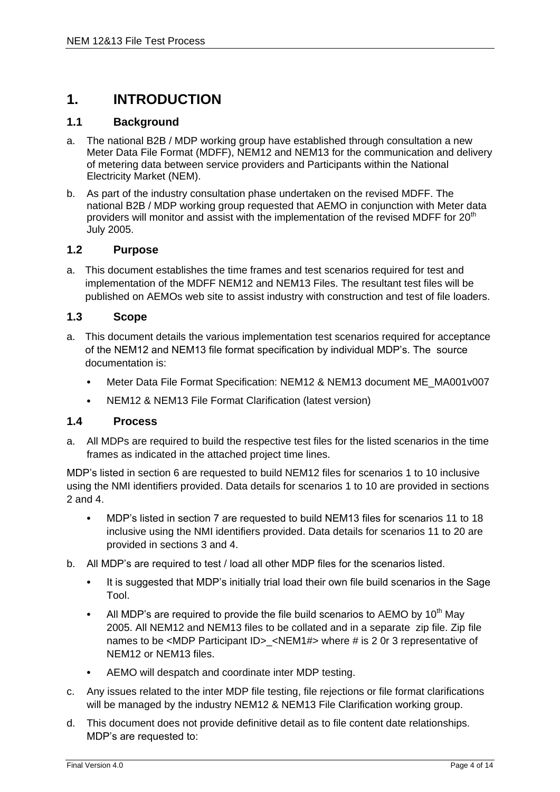### <span id="page-4-0"></span>**1. INTRODUCTION**

#### <span id="page-4-1"></span>**1.1 Background**

- a. The national B2B / MDP working group have established through consultation a new Meter Data File Format (MDFF), NEM12 and NEM13 for the communication and delivery of metering data between service providers and Participants within the National Electricity Market (NEM).
- b. As part of the industry consultation phase undertaken on the revised MDFF. The national B2B / MDP working group requested that AEMO in conjunction with Meter data providers will monitor and assist with the implementation of the revised MDFF for 20<sup>th</sup> July 2005.

#### <span id="page-4-2"></span>**1.2 Purpose**

a. This document establishes the time frames and test scenarios required for test and implementation of the MDFF NEM12 and NEM13 Files. The resultant test files will be published on AEMOs web site to assist industry with construction and test of file loaders.

#### <span id="page-4-3"></span>**1.3 Scope**

- a. This document details the various implementation test scenarios required for acceptance of the NEM12 and NEM13 file format specification by individual MDP's. The source documentation is:
	- Meter Data File Format Specification: NEM12 & NEM13 document ME\_MA001v007
	- NEM12 & NEM13 File Format Clarification (latest version)

#### <span id="page-4-4"></span>**1.4 Process**

a. All MDPs are required to build the respective test files for the listed scenarios in the time frames as indicated in the attached project time lines.

MDP's listed in section 6 are requested to build NEM12 files for scenarios 1 to 10 inclusive using the NMI identifiers provided. Data details for scenarios 1 to 10 are provided in sections 2 and 4.

- MDP's listed in section 7 are requested to build NEM13 files for scenarios 11 to 18 inclusive using the NMI identifiers provided. Data details for scenarios 11 to 20 are provided in sections 3 and 4.
- b. All MDP's are required to test / load all other MDP files for the scenarios listed.
	- It is suggested that MDP's initially trial load their own file build scenarios in the Sage Tool.
	- All MDP's are required to provide the file build scenarios to AEMO by  $10^{th}$  May 2005. All NEM12 and NEM13 files to be collated and in a separate zip file. Zip file names to be <MDP Participant ID> <NEM1#> where # is 2 0r 3 representative of NEM12 or NEM13 files.
	- AEMO will despatch and coordinate inter MDP testing.
- c. Any issues related to the inter MDP file testing, file rejections or file format clarifications will be managed by the industry NEM12 & NEM13 File Clarification working group.
- d. This document does not provide definitive detail as to file content date relationships. MDP's are requested to: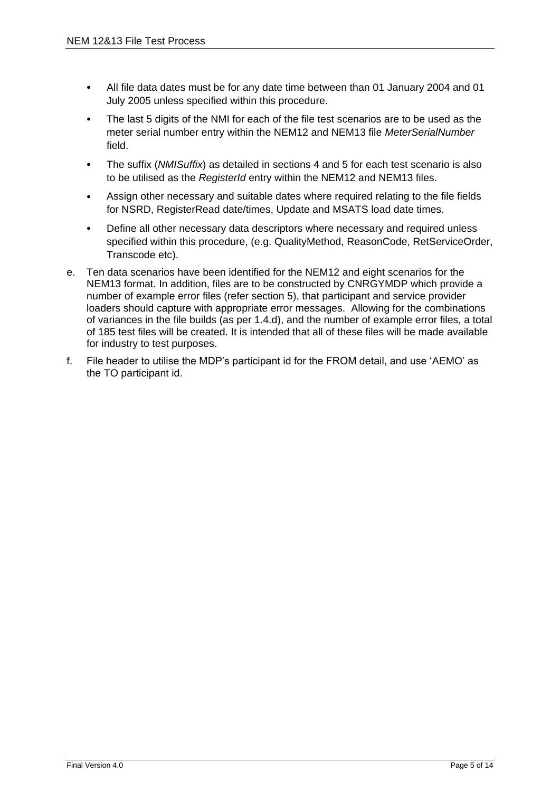- All file data dates must be for any date time between than 01 January 2004 and 01 July 2005 unless specified within this procedure.
- The last 5 digits of the NMI for each of the file test scenarios are to be used as the meter serial number entry within the NEM12 and NEM13 file *MeterSerialNumber* field.
- The suffix (*NMISuffix*) as detailed in sections 4 and 5 for each test scenario is also to be utilised as the *RegisterId* entry within the NEM12 and NEM13 files.
- Assign other necessary and suitable dates where required relating to the file fields for NSRD, RegisterRead date/times, Update and MSATS load date times.
- Define all other necessary data descriptors where necessary and required unless specified within this procedure, (e.g. QualityMethod, ReasonCode, RetServiceOrder, Transcode etc).
- e. Ten data scenarios have been identified for the NEM12 and eight scenarios for the NEM13 format. In addition, files are to be constructed by CNRGYMDP which provide a number of example error files (refer section 5), that participant and service provider loaders should capture with appropriate error messages. Allowing for the combinations of variances in the file builds (as per 1.4.d), and the number of example error files, a total of 185 test files will be created. It is intended that all of these files will be made available for industry to test purposes.
- f. File header to utilise the MDP's participant id for the FROM detail, and use 'AEMO' as the TO participant id.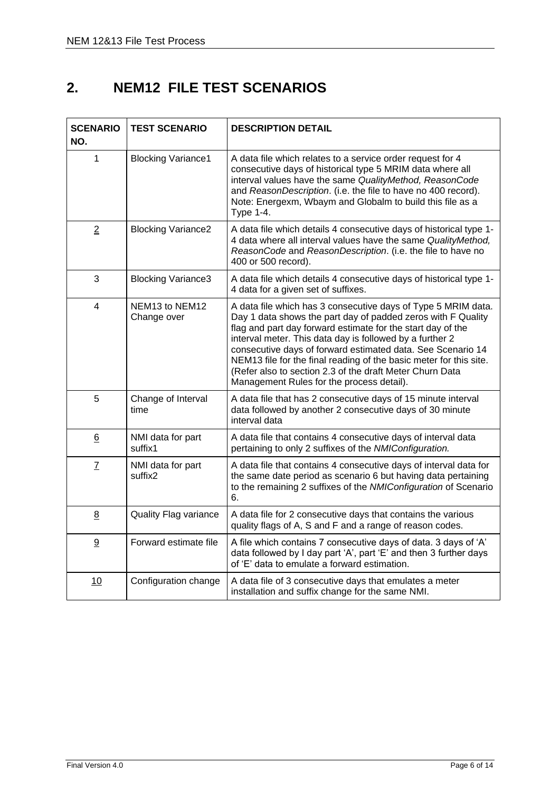## <span id="page-6-0"></span>**2. NEM12 FILE TEST SCENARIOS**

| <b>SCENARIO</b><br>NO. | <b>TEST SCENARIO</b>                                  | <b>DESCRIPTION DETAIL</b>                                                                                                                                                                                                                                                                                                                                                                                                                                                                              |
|------------------------|-------------------------------------------------------|--------------------------------------------------------------------------------------------------------------------------------------------------------------------------------------------------------------------------------------------------------------------------------------------------------------------------------------------------------------------------------------------------------------------------------------------------------------------------------------------------------|
| $\mathbf{1}$           | <b>Blocking Variance1</b>                             | A data file which relates to a service order request for 4<br>consecutive days of historical type 5 MRIM data where all<br>interval values have the same QualityMethod, ReasonCode<br>and ReasonDescription. (i.e. the file to have no 400 record).<br>Note: Energexm, Wbaym and Globalm to build this file as a<br><b>Type 1-4.</b>                                                                                                                                                                   |
| $\overline{2}$         | <b>Blocking Variance2</b>                             | A data file which details 4 consecutive days of historical type 1-<br>4 data where all interval values have the same QualityMethod,<br>ReasonCode and ReasonDescription. (i.e. the file to have no<br>400 or 500 record).                                                                                                                                                                                                                                                                              |
| 3                      | <b>Blocking Variance3</b>                             | A data file which details 4 consecutive days of historical type 1-<br>4 data for a given set of suffixes.                                                                                                                                                                                                                                                                                                                                                                                              |
| 4                      | NEM <sub>13</sub> to NEM <sub>12</sub><br>Change over | A data file which has 3 consecutive days of Type 5 MRIM data.<br>Day 1 data shows the part day of padded zeros with F Quality<br>flag and part day forward estimate for the start day of the<br>interval meter. This data day is followed by a further 2<br>consecutive days of forward estimated data. See Scenario 14<br>NEM13 file for the final reading of the basic meter for this site.<br>(Refer also to section 2.3 of the draft Meter Churn Data<br>Management Rules for the process detail). |
| 5                      | Change of Interval<br>time                            | A data file that has 2 consecutive days of 15 minute interval<br>data followed by another 2 consecutive days of 30 minute<br>interval data                                                                                                                                                                                                                                                                                                                                                             |
| 6                      | NMI data for part<br>suffix1                          | A data file that contains 4 consecutive days of interval data<br>pertaining to only 2 suffixes of the NMIConfiguration.                                                                                                                                                                                                                                                                                                                                                                                |
| $\underline{7}$        | NMI data for part<br>suffix2                          | A data file that contains 4 consecutive days of interval data for<br>the same date period as scenario 6 but having data pertaining<br>to the remaining 2 suffixes of the NMIConfiguration of Scenario<br>6.                                                                                                                                                                                                                                                                                            |
| 8                      | Quality Flag variance                                 | A data file for 2 consecutive days that contains the various<br>quality flags of A, S and F and a range of reason codes.                                                                                                                                                                                                                                                                                                                                                                               |
| 9                      | Forward estimate file                                 | A file which contains 7 consecutive days of data. 3 days of 'A'<br>data followed by I day part 'A', part 'E' and then 3 further days<br>of 'E' data to emulate a forward estimation.                                                                                                                                                                                                                                                                                                                   |
| 10                     | Configuration change                                  | A data file of 3 consecutive days that emulates a meter<br>installation and suffix change for the same NMI.                                                                                                                                                                                                                                                                                                                                                                                            |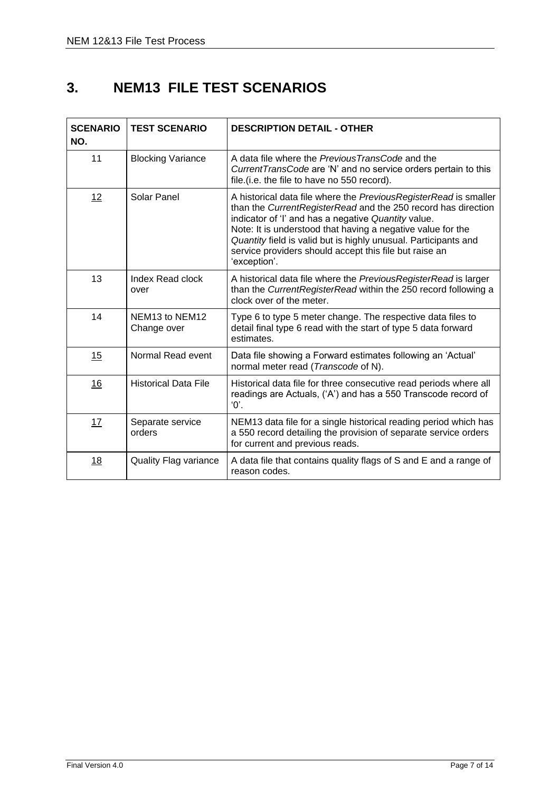### <span id="page-7-0"></span>**3. NEM13 FILE TEST SCENARIOS**

| <b>SCENARIO</b><br>NO. | <b>TEST SCENARIO</b>          | <b>DESCRIPTION DETAIL - OTHER</b>                                                                                                                                                                                                                                                                                                                                                                    |
|------------------------|-------------------------------|------------------------------------------------------------------------------------------------------------------------------------------------------------------------------------------------------------------------------------------------------------------------------------------------------------------------------------------------------------------------------------------------------|
| 11                     | <b>Blocking Variance</b>      | A data file where the Previous TransCode and the<br>CurrentTransCode are 'N' and no service orders pertain to this<br>file. (i.e. the file to have no 550 record).                                                                                                                                                                                                                                   |
| 12                     | Solar Panel                   | A historical data file where the PreviousRegisterRead is smaller<br>than the CurrentRegisterRead and the 250 record has direction<br>indicator of 'I' and has a negative Quantity value.<br>Note: It is understood that having a negative value for the<br>Quantity field is valid but is highly unusual. Participants and<br>service providers should accept this file but raise an<br>'exception'. |
| 13                     | Index Read clock<br>over      | A historical data file where the PreviousRegisterRead is larger<br>than the CurrentRegisterRead within the 250 record following a<br>clock over of the meter.                                                                                                                                                                                                                                        |
| 14                     | NEM13 to NEM12<br>Change over | Type 6 to type 5 meter change. The respective data files to<br>detail final type 6 read with the start of type 5 data forward<br>estimates.                                                                                                                                                                                                                                                          |
| 15                     | Normal Read event             | Data file showing a Forward estimates following an 'Actual'<br>normal meter read (Transcode of N).                                                                                                                                                                                                                                                                                                   |
| 16                     | <b>Historical Data File</b>   | Historical data file for three consecutive read periods where all<br>readings are Actuals, ('A') and has a 550 Transcode record of<br>$^{\circ}$ .                                                                                                                                                                                                                                                   |
| 17                     | Separate service<br>orders    | NEM13 data file for a single historical reading period which has<br>a 550 record detailing the provision of separate service orders<br>for current and previous reads.                                                                                                                                                                                                                               |
| 18                     | <b>Quality Flag variance</b>  | A data file that contains quality flags of S and E and a range of<br>reason codes.                                                                                                                                                                                                                                                                                                                   |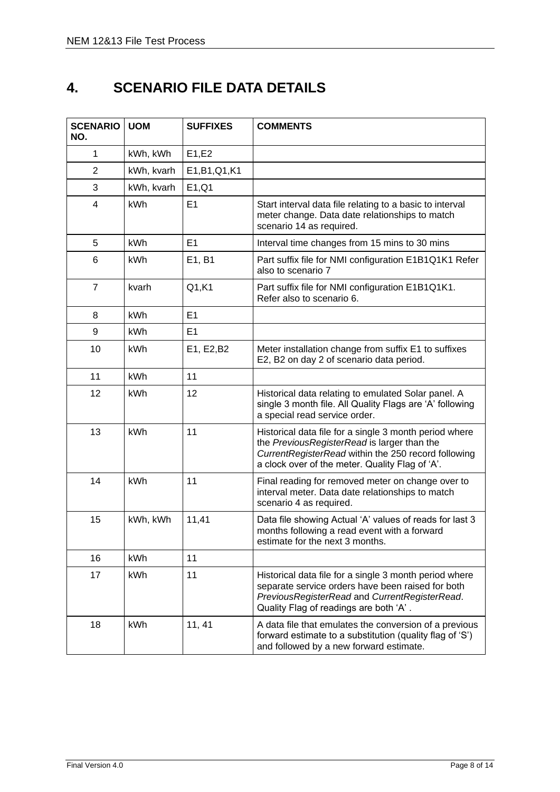## <span id="page-8-0"></span>**4. SCENARIO FILE DATA DETAILS**

| <b>SCENARIO</b><br>NO. | <b>UOM</b> | <b>SUFFIXES</b> | <b>COMMENTS</b>                                                                                                                                                                                                 |
|------------------------|------------|-----------------|-----------------------------------------------------------------------------------------------------------------------------------------------------------------------------------------------------------------|
| $\mathbf{1}$           | kWh, kWh   | E1,E2           |                                                                                                                                                                                                                 |
| $\overline{2}$         | kWh, kvarh | E1, B1, Q1, K1  |                                                                                                                                                                                                                 |
| 3                      | kWh, kvarh | E1,Q1           |                                                                                                                                                                                                                 |
| 4                      | <b>kWh</b> | E1              | Start interval data file relating to a basic to interval<br>meter change. Data date relationships to match<br>scenario 14 as required.                                                                          |
| 5                      | <b>kWh</b> | E1              | Interval time changes from 15 mins to 30 mins                                                                                                                                                                   |
| 6                      | kWh        | E1, B1          | Part suffix file for NMI configuration E1B1Q1K1 Refer<br>also to scenario 7                                                                                                                                     |
| $\overline{7}$         | kvarh      | Q1,K1           | Part suffix file for NMI configuration E1B1Q1K1.<br>Refer also to scenario 6.                                                                                                                                   |
| 8                      | kWh        | E1              |                                                                                                                                                                                                                 |
| 9                      | kWh        | E1              |                                                                                                                                                                                                                 |
| 10                     | kWh        | E1, E2, B2      | Meter installation change from suffix E1 to suffixes<br>E2, B2 on day 2 of scenario data period.                                                                                                                |
| 11                     | kWh        | 11              |                                                                                                                                                                                                                 |
| 12                     | <b>kWh</b> | 12              | Historical data relating to emulated Solar panel. A<br>single 3 month file. All Quality Flags are 'A' following<br>a special read service order.                                                                |
| 13                     | kWh        | 11              | Historical data file for a single 3 month period where<br>the PreviousRegisterRead is larger than the<br>CurrentRegisterRead within the 250 record following<br>a clock over of the meter. Quality Flag of 'A'. |
| 14                     | kWh        | 11              | Final reading for removed meter on change over to<br>interval meter. Data date relationships to match<br>scenario 4 as required.                                                                                |
| 15                     | kWh, kWh   | 11,41           | Data file showing Actual 'A' values of reads for last 3<br>months following a read event with a forward<br>estimate for the next 3 months.                                                                      |
| 16                     | kWh        | 11              |                                                                                                                                                                                                                 |
| 17                     | kWh        | 11              | Historical data file for a single 3 month period where<br>separate service orders have been raised for both<br>PreviousRegisterRead and CurrentRegisterRead.<br>Quality Flag of readings are both 'A'.          |
| 18                     | kWh        | 11, 41          | A data file that emulates the conversion of a previous<br>forward estimate to a substitution (quality flag of 'S')<br>and followed by a new forward estimate.                                                   |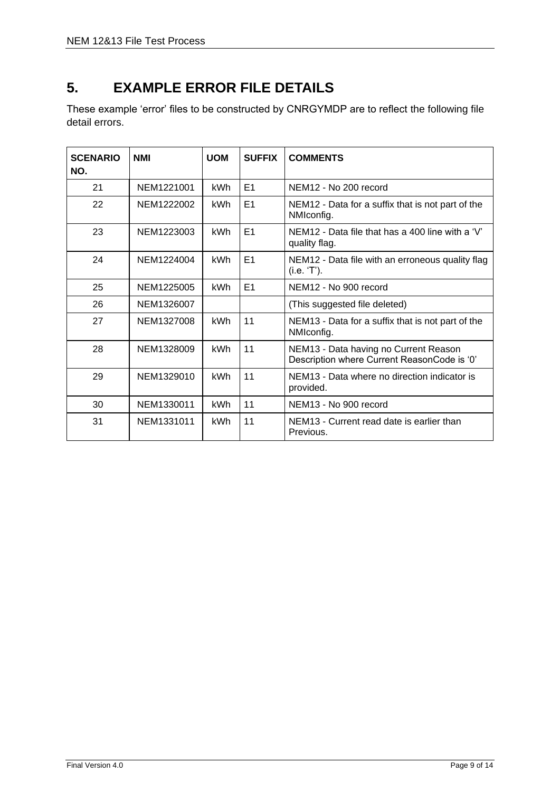## <span id="page-9-0"></span>**5. EXAMPLE ERROR FILE DETAILS**

These example 'error' files to be constructed by CNRGYMDP are to reflect the following file detail errors.

| <b>SCENARIO</b><br>NO. | <b>NMI</b> | <b>UOM</b> | <b>SUFFIX</b> | <b>COMMENTS</b>                                                                      |
|------------------------|------------|------------|---------------|--------------------------------------------------------------------------------------|
| 21                     | NEM1221001 | kWh        | E1            | NEM12 - No 200 record                                                                |
| 22                     | NEM1222002 | kWh        | E1            | NEM12 - Data for a suffix that is not part of the<br>NMIconfig.                      |
| 23                     | NEM1223003 | kWh        | E1            | NEM12 - Data file that has a 400 line with a 'V'<br>quality flag.                    |
| 24                     | NEM1224004 | kWh        | E1            | NEM12 - Data file with an erroneous quality flag<br>(i.e. 'T').                      |
| 25                     | NEM1225005 | kWh        | E1            | NEM12 - No 900 record                                                                |
| 26                     | NEM1326007 |            |               | (This suggested file deleted)                                                        |
| 27                     | NEM1327008 | <b>kWh</b> | 11            | NEM13 - Data for a suffix that is not part of the<br>NMIconfig.                      |
| 28                     | NEM1328009 | kWh        | 11            | NEM13 - Data having no Current Reason<br>Description where Current ReasonCode is '0' |
| 29                     | NEM1329010 | kWh        | 11            | NEM13 - Data where no direction indicator is<br>provided.                            |
| 30                     | NEM1330011 | kWh        | 11            | NEM13 - No 900 record                                                                |
| 31                     | NEM1331011 | kWh        | 11            | NEM13 - Current read date is earlier than<br>Previous.                               |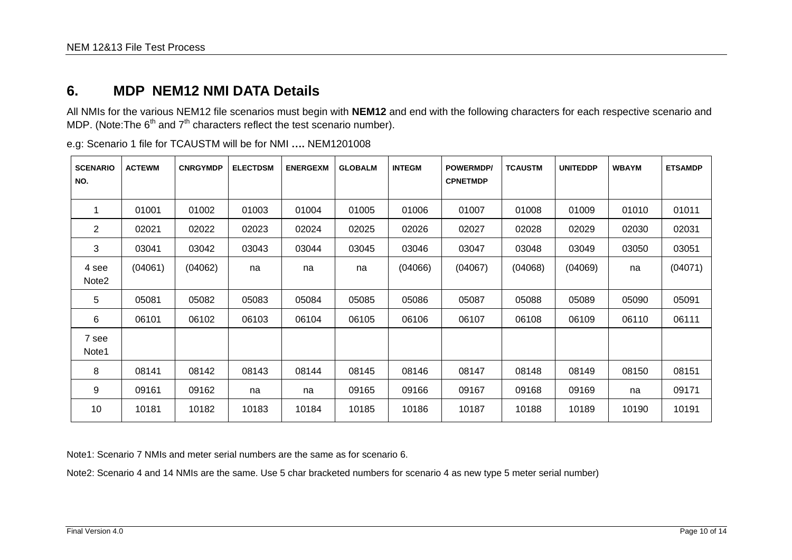### **6. MDP NEM12 NMI DATA Details**

All NMIs for the various NEM12 file scenarios must begin with **NEM12** and end with the following characters for each respective scenario and MDP. (Note: The  $6<sup>th</sup>$  and  $7<sup>th</sup>$  characters reflect the test scenario number).

| <b>SCENARIO</b><br>NO.     | <b>ACTEWM</b> | <b>CNRGYMDP</b> | <b>ELECTDSM</b> | <b>ENERGEXM</b> | <b>GLOBALM</b> | <b>INTEGM</b> | <b>POWERMDP/</b><br><b>CPNETMDP</b> | <b>TCAUSTM</b> | <b>UNITEDDP</b> | <b>WBAYM</b> | <b>ETSAMDP</b> |  |  |  |
|----------------------------|---------------|-----------------|-----------------|-----------------|----------------|---------------|-------------------------------------|----------------|-----------------|--------------|----------------|--|--|--|
|                            |               |                 |                 |                 |                |               |                                     |                |                 |              |                |  |  |  |
|                            | 01001         | 01002           | 01003           | 01004           | 01005          | 01006         | 01007                               | 01008          | 01009           | 01010        | 01011          |  |  |  |
| 2                          | 02021         | 02022           | 02023           | 02024           | 02025          | 02026         | 02027                               | 02028          | 02029           | 02030        | 02031          |  |  |  |
| 3                          | 03041         | 03042           | 03043           | 03044           | 03045          | 03046         | 03047                               | 03048          | 03049           | 03050        | 03051          |  |  |  |
| 4 see<br>Note <sub>2</sub> | (04061)       | (04062)         | na              | na              | na             | (04066)       | (04067)                             | (04068)        | (04069)         | na           | (04071)        |  |  |  |
| 5                          | 05081         | 05082           | 05083           | 05084           | 05085          | 05086         | 05087                               | 05088          | 05089           | 05090        | 05091          |  |  |  |
| 6                          | 06101         | 06102           | 06103           | 06104           | 06105          | 06106         | 06107                               | 06108          | 06109           | 06110        | 06111          |  |  |  |
| 7 see<br>Note1             |               |                 |                 |                 |                |               |                                     |                |                 |              |                |  |  |  |
| 8                          | 08141         | 08142           | 08143           | 08144           | 08145          | 08146         | 08147                               | 08148          | 08149           | 08150        | 08151          |  |  |  |
| 9                          | 09161         | 09162           | na              | na              | 09165          | 09166         | 09167                               | 09168          | 09169           | na           | 09171          |  |  |  |
| 10                         | 10181         | 10182           | 10183           | 10184           | 10185          | 10186         | 10187                               | 10188          | 10189           | 10190        | 10191          |  |  |  |

e.g: Scenario 1 file for TCAUSTM will be for NMI **….** NEM1201008

<span id="page-10-0"></span>Note1: Scenario 7 NMIs and meter serial numbers are the same as for scenario 6.

Note2: Scenario 4 and 14 NMIs are the same. Use 5 char bracketed numbers for scenario 4 as new type 5 meter serial number)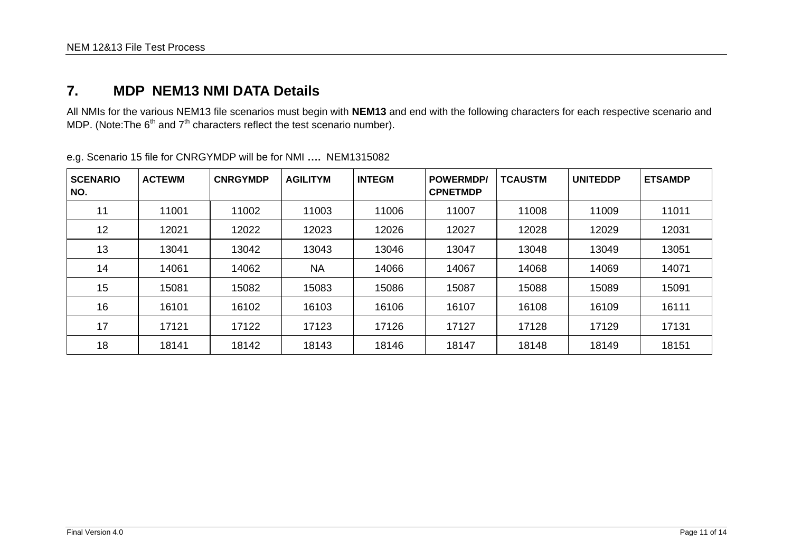### **7. MDP NEM13 NMI DATA Details**

All NMIs for the various NEM13 file scenarios must begin with **NEM13** and end with the following characters for each respective scenario and MDP. (Note: The  $6<sup>th</sup>$  and  $7<sup>th</sup>$  characters reflect the test scenario number).

<span id="page-11-0"></span>

| <b>SCENARIO</b><br>NO. | <b>ACTEWM</b> | <b>CNRGYMDP</b> | <b>AGILITYM</b> | <b>INTEGM</b> | <b>POWERMDP</b><br><b>CPNETMDP</b> | <b>TCAUSTM</b> | <b>UNITEDDP</b> | <b>ETSAMDP</b> |
|------------------------|---------------|-----------------|-----------------|---------------|------------------------------------|----------------|-----------------|----------------|
| 11                     | 11001         | 11002           | 11003           | 11006         | 11007                              | 11008          | 11009           | 11011          |
| 12                     | 12021         | 12022           | 12023           | 12026         | 12027                              | 12028          | 12029           | 12031          |
| 13                     | 13041         | 13042           | 13043           | 13046         | 13047                              | 13048          | 13049           | 13051          |
| 14                     | 14061         | 14062           | <b>NA</b>       | 14066         | 14067                              | 14068          | 14069           | 14071          |
| 15                     | 15081         | 15082           | 15083           | 15086         | 15087                              | 15088          | 15089           | 15091          |
| 16                     | 16101         | 16102           | 16103           | 16106         | 16107                              | 16108          | 16109           | 16111          |
| 17                     | 17121         | 17122           | 17123           | 17126         | 17127                              | 17128          | 17129           | 17131          |
| 18                     | 18141         | 18142           | 18143           | 18146         | 18147                              | 18148          | 18149           | 18151          |

e.g. Scenario 15 file for CNRGYMDP will be for NMI **….** NEM1315082